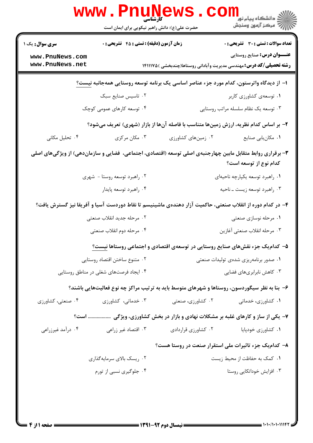|                                                                                                                                     | WWW.PILUIN<br>حضرت علی(ع): دانش راهبر نیکویی برای ایمان است                                  |                           | ڪ دانشڪاه پيام نور<br><mark>ر</mark> > مرڪز آزمون وسنڊش                                                          |  |  |  |
|-------------------------------------------------------------------------------------------------------------------------------------|----------------------------------------------------------------------------------------------|---------------------------|------------------------------------------------------------------------------------------------------------------|--|--|--|
| <b>سری سوال :</b> یک ۱                                                                                                              | زمان آزمون (دقیقه) : تستی : 45 آتشریحی : 0                                                   |                           | <b>تعداد سوالات : تستی : 30 ٪ تشریحی : 0</b>                                                                     |  |  |  |
| www.PnuNews.com<br>www.PnuNews.net                                                                                                  |                                                                                              |                           | <b>عنـــوان درس:</b> صنایع روستایی<br><b>رشته تحصیلی/کد درس:</b> مهندسی مدیریت وآبادانی روستاها(چندبخشی )۱۴۱۱۱۷۵ |  |  |  |
| ا– از دیدگاه واترستون، کدام مورد جزء عناصر اساسی یک برنامه توسعه روستایی همهجانبه نیست؟                                             |                                                                                              |                           |                                                                                                                  |  |  |  |
|                                                                                                                                     | ۰۲ تاسیس صنایع سبک                                                                           |                           | ٠١ توسعهى كشاورزى كاربر                                                                                          |  |  |  |
|                                                                                                                                     | ۰۴ توسعه کارهای عمومی کوچک                                                                   |                           | ۰۳ توسعه یک نظام سلسله مراتب روستایی                                                                             |  |  |  |
| ۲- بر اساس کدام نظریه، ارزش زمینها متناسب با فاصله آنها از بازار (شهری) تعریف میشود؟                                                |                                                                                              |                           |                                                                                                                  |  |  |  |
| ۰۴ تحلیل مکانی                                                                                                                      | ۰۳ مکان مرکزی                                                                                | ۰۲ زمینهای کشاورزی        | ٠١. مكان يابي صنايع                                                                                              |  |  |  |
| ۳- برقراری روابط متقابل مابین چهارجنبهی اصلی توسعه (اقتصادی، اجتماعی، فضایی و سازماندهی) از ویژگیهای اصلی<br>كدام نوع از توسعه است؟ |                                                                                              |                           |                                                                                                                  |  |  |  |
|                                                                                                                                     | ۰۲ راهبرد توسعه روستا - شهری                                                                 |                           | ٠١ راهبرد توسعه يكپارچه ناحيهاي                                                                                  |  |  |  |
|                                                                                                                                     | ۰۴ راهبرد توسعه پايدار                                                                       |                           | ۰۳ راهبرد توسعه زيست ـ ناحيه                                                                                     |  |  |  |
| ۴– در کدام دوره از انقلاب صنعتی، حاکمیت آزار دهندهی ماشینیسم تا نقاط دوردست آسیا و آفریقا نیز گسترش یافت؟                           |                                                                                              |                           |                                                                                                                  |  |  |  |
|                                                                                                                                     | ۰۲ مرحله جدید انقلاب صنعتی                                                                   |                           | ۰۱ مرحله نوسازی صنعتی                                                                                            |  |  |  |
|                                                                                                                                     | ۰۴ مرحله دوم انقلاب صنعتى                                                                    |                           | ٠٣ مرحله انقلاب صنعتي أغازين                                                                                     |  |  |  |
|                                                                                                                                     | ۵– کدام یک جزء نقشهای صنایع روستایی در توسعهی اقتصادی و اجتماعی روستاها نیست؟                |                           |                                                                                                                  |  |  |  |
|                                                                                                                                     | ۰۲ متنوع ساختن اقتصاد روستايي                                                                |                           | ۰۱ صدور برنامهریزی شدهی تولیدات صنعتی                                                                            |  |  |  |
|                                                                                                                                     | ۰۴ ایجاد فرصتهای شغلی در مناطق روستایی                                                       | ۰۳ کاهش نابرابریهای فضایی |                                                                                                                  |  |  |  |
|                                                                                                                                     | ۶– بنا به نظر سیگوردسون، روستاها و شهرهای متوسط باید به ترتیب مراکز چه نوع فعالیتهایی باشند؟ |                           |                                                                                                                  |  |  |  |
| ۰۴ صنعتی، کشاورزی                                                                                                                   | ۰۳ خدماتی، کشاورزی                                                                           | ۰۲ کشاورزی، صنعتی         | ۰۱ کشاورزی، خدماتی                                                                                               |  |  |  |
|                                                                                                                                     | ۷- یکی از ساز و کارهای غلبه بر مشکلات نهادی و بازار در بخش کشاورزی، ویژگی  است؟              |                           |                                                                                                                  |  |  |  |
| ۰۴ درآمد غیرزراعی                                                                                                                   | ۰۳ اقتصاد غیر زراعی                                                                          | ۰۲ کشاورزی قراردادی       | ٠١ كشاورزي خودپايا                                                                                               |  |  |  |
|                                                                                                                                     |                                                                                              |                           | ۸– کدامیک جزء تاثیرات ملی استقرار صنعت در روستا هست؟                                                             |  |  |  |
|                                                                                                                                     | ۰۲ ریسک بالای سرمایهگذاری                                                                    |                           | ۰۱ کمک به حفاظت از محیط زیست                                                                                     |  |  |  |
|                                                                                                                                     | ۰۴ جلوگیری نسبی از تورم                                                                      |                           | ۰۳ افزایش خوداتکایی روستا                                                                                        |  |  |  |
|                                                                                                                                     |                                                                                              |                           |                                                                                                                  |  |  |  |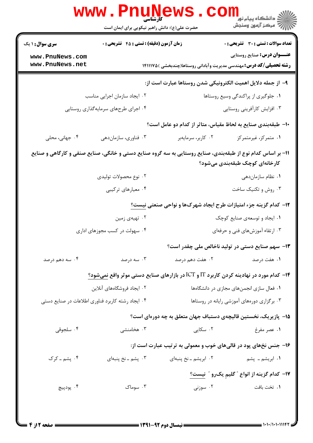|                                                                                                                                               | <b>www.PnuNews</b><br>کارشناسی<br>حضرت علی(ع): دانش راهبر نیکویی برای ایمان است        |                                                                            | ڪ دانشڪاه پيام نور<br><mark>√</mark> مرڪز آزمون وسنڊش |  |  |
|-----------------------------------------------------------------------------------------------------------------------------------------------|----------------------------------------------------------------------------------------|----------------------------------------------------------------------------|-------------------------------------------------------|--|--|
| <b>سری سوال : ۱ یک</b>                                                                                                                        | زمان آزمون (دقیقه) : تستی : 45 آتشریحی : 0                                             |                                                                            | <b>تعداد سوالات : تستی : 30 ٪ تشریحی : 0</b>          |  |  |
| www.PnuNews.com<br>www.PnuNews.net                                                                                                            |                                                                                        | <b>رشته تحصیلی/کد درس:</b> مهندسی مدیریت وآبادانی روستاها(چندبخشی )۱۴۱۱۱۷۵ | <b>عنـــوان درس:</b> صنایع روستایی                    |  |  |
| ۹– از جمله دلایل اهمیت الکترونیکی شدن روستاها عبارت است از:                                                                                   |                                                                                        |                                                                            |                                                       |  |  |
|                                                                                                                                               | ۰۲ ایجاد سازمان اجرایی مناسب                                                           |                                                                            | ٠١ جلوگيري از پراكندگي وسيع روستاها                   |  |  |
|                                                                                                                                               | ۰۴ اجرای طرحهای سرمایهگذاری روستایی                                                    |                                                                            | ۰۳ افزایش کارآفرینی روستایی                           |  |  |
|                                                                                                                                               |                                                                                        | ∙ا− طبقهبندی صنایع به لحاظ مقیاس، متاثر از کدام دو عامل است؟               |                                                       |  |  |
| ۰۴ جهانی، محلی                                                                                                                                | ۰۳ فناوري، سازماندهي                                                                   | ۰۲ کاربر، سرمايهبر                                                         | ٠١ متمركز، غيرمتمركز                                  |  |  |
| 1۱- بر اساس کدام نوع از طبقهبندی، صنایع روستایی به سه گروه صنایع دستی و خانگی، صنایع صنفی و کارگاهی و صنایع<br>کارخانهای کوچک طبقهبندی میشود؟ |                                                                                        |                                                                            |                                                       |  |  |
|                                                                                                                                               | ۰۲ نوع محصولات تولیدی                                                                  |                                                                            | ۰۱ نظام سازماندهی                                     |  |  |
|                                                                                                                                               | ۰۴ معیارهای ترکیبی                                                                     |                                                                            | ۰۳ روش و تکنیک ساخت                                   |  |  |
|                                                                                                                                               |                                                                                        | <b>۱۲</b> – کدام گزینه جزء امتیازات طرح ایجاد شهرکها و نواحی صنعتی نیست؟   |                                                       |  |  |
|                                                                                                                                               | ۰۲ تهیهی زمین                                                                          |                                                                            | ۰۱ ایجاد و توسعهی صنایع کوچک                          |  |  |
|                                                                                                                                               | ۰۴ سهولت در کسب مجوزهای اداری                                                          |                                                                            | ۰۳ ارتقاء آموزشهای فنی و حرفهای                       |  |  |
|                                                                                                                                               |                                                                                        |                                                                            | ۱۳– سهم صنایع دستی در تولید ناخالص ملی چقدر است؟      |  |  |
| ۰۴ سه دهم درصد                                                                                                                                | ۰۳ سه درصد                                                                             | ۰۲ هفت دهم درصد                                                            | ۰۱ هفت درصد                                           |  |  |
|                                                                                                                                               | ۰۱۴ کدام مورد در نهادینه کردن کاربرد IT و ICT در بازارهای صنایع دستی موثر واقع نمیشود؟ |                                                                            |                                                       |  |  |
|                                                                                                                                               | ۰۲ ایجاد فروشگاههای آنلاین                                                             |                                                                            | ۰۱ فعال سازی انجمنهای مجازی در دانشگاهها              |  |  |
|                                                                                                                                               | ۰۴ ایجاد رشته کاربرد فناوری اطلاعات در صنایع دستی                                      |                                                                            | ۰۳ برگزاری دورههای آموزشی رایانه در روستاها           |  |  |
|                                                                                                                                               |                                                                                        | ۱۵– پازیریک، نخستین قالیچهی دستباف جهان متعلق به چه دورهای است؟            |                                                       |  |  |
| ۰۴ سلجوقی                                                                                                                                     | ۰۳ هخامنشی                                                                             | ۰۲ سکایی                                                                   | ۰۱ عصر مفرغ                                           |  |  |
|                                                                                                                                               |                                                                                        | ۱۶- جنس نخهای پود در قالیهای خوب و معمولی به ترتیب عبارت است از:           |                                                       |  |  |
| ۰۴ پشم ـ کرک                                                                                                                                  | ۰۳ پشم ــ نخ پنبهای                                                                    | ٠٢ ابريشم ـ نخ پنبهاى                                                      | ۰۱ ابریشم ـ پشم                                       |  |  |
|                                                                                                                                               |                                                                                        |                                                                            | ۱۷– کدام گزینه از انواع ″ گلیمِ یکرو ″ ن <u>یست؟</u>  |  |  |
| ۰۴ پودپيچ                                                                                                                                     | ۰۳ سوماک                                                                               | ۰۲ سوزنی                                                                   | ٠. تخت بافت                                           |  |  |
|                                                                                                                                               |                                                                                        |                                                                            |                                                       |  |  |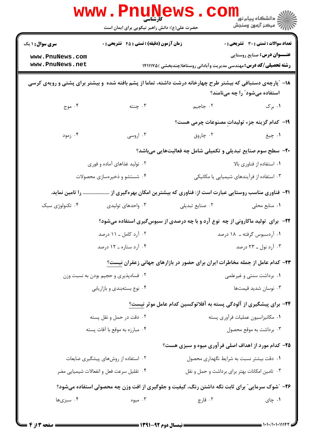|                                                                                                                                              | کارشناسی<br>حضرت علی(ع): دانش راهبر نیکویی برای ایمان است                                       |                                                                                     | ڪ دانشڪاه پيا <sub>م</sub> نور<br><mark>√</mark> مرڪز آزمون وسنڊش                  |  |
|----------------------------------------------------------------------------------------------------------------------------------------------|-------------------------------------------------------------------------------------------------|-------------------------------------------------------------------------------------|------------------------------------------------------------------------------------|--|
| <b>سری سوال : ۱ یک</b><br>www.PnuNews.com<br>www.PnuNews.net                                                                                 | زمان آزمون (دقیقه) : تستی : 45 آتشریحی : 0                                                      | <b>رشته تحصیلی/کد درس:</b> مهندسی مدیریت وآبادانی روستاها(چندبخشی )۱۴۱۱۱۷۵ <b>۱</b> | <b>تعداد سوالات : تستي : 30 ٪ تشريحي : 0</b><br><b>عنـــوان درس:</b> صنایع روستایی |  |
| ۱۸− ″پارچهی دستبافی که بیشتر طرح چهارخانه درشت داشته، تماما از پشم بافته شده و بیشتر برای پشتی و رویهی کرسی<br>استفاده میشود" را چه مینامند؟ |                                                                                                 |                                                                                     |                                                                                    |  |
| ۴. موج                                                                                                                                       | ۰۳ چنته                                                                                         | ۰۲ جاجیم                                                                            | ۰۱ برک                                                                             |  |
|                                                                                                                                              |                                                                                                 | 1۹– كدام گزینه جزء تولیدات مصنوعات چرمی هست؟                                        |                                                                                    |  |
| ۰۴ زمود                                                                                                                                      | ۰۳ اروسی                                                                                        | ۰۲ چاروق                                                                            | ١. چيغ                                                                             |  |
|                                                                                                                                              |                                                                                                 | <b>۲۰</b> - سطح سوم صنایع تبدیلی و تکمیلی شامل چه فعالیتهایی میباشد؟                |                                                                                    |  |
|                                                                                                                                              | ۰۲ تولید غذاهای آماده و فوری                                                                    |                                                                                     | ۰۱ استفاده از فناوری بالا                                                          |  |
|                                                                                                                                              | ۰۴ شستشو و ذخیرهسازی محصولات                                                                    | ۰۳ استفاده از فرآیندهای شیمیایی یا مکانیکی                                          |                                                                                    |  |
| . را تامین نماید.                                                                                                                            |                                                                                                 | <b>۲۱</b> - فناوری مناسب روستایی عبارت است از: فناوری که بیشترین امکان بهرهگیری از  |                                                                                    |  |
| ۰۴ تکنولوژی سبک                                                                                                                              | ۰۳ واحدهای تولیدی                                                                               | ٠٢ صنايع تبديلي                                                                     | ۰۱ منابع محلی                                                                      |  |
|                                                                                                                                              | <b>۲۲</b> - برای تولید ماکارونی از چه نوع آرد و با چه درصدی از سبوس <i>گ</i> یری استفاده میشود؟ |                                                                                     |                                                                                    |  |
|                                                                                                                                              | ۰۲ آرد کامل ـ ۱۱ درصد                                                                           |                                                                                     | ۰۱ آردسبوس گرفته ـ ۱۸ درصد                                                         |  |
|                                                                                                                                              | ۰۴ آرد ستاره ــ ۱۲ درصد                                                                         |                                                                                     | ۰۳ آرد نول ــ ۲۳ درصد                                                              |  |
|                                                                                                                                              |                                                                                                 | ۲۳– کدام عامل از جمله مخاطرات ایران برای حضور در بازارهای جهانی زعفران نیست؟        |                                                                                    |  |
|                                                                                                                                              | ۰۲ فسادپذیری و حجیم بودن به نسبت وزن                                                            |                                                                                     | ۰۱ برداشت سنتی و غیرعلمی                                                           |  |
|                                                                                                                                              | ۰۴ نوع بستهبندي و بازاريابي                                                                     |                                                                                     | ۰۳ نوسان شدید قیمتها                                                               |  |
|                                                                                                                                              |                                                                                                 | ۲۴– برای پیشگیری از آلودگی پسته به آفلاتوکسین کدام عامل موثر نیست؟                  |                                                                                    |  |
|                                                                                                                                              | ۰۲ دقت در حمل و نقل پسته                                                                        |                                                                                     | ٠١ مكانيزاسيون عمليات فرآوري پسته                                                  |  |
|                                                                                                                                              | ۰۴ مبارزه به موقع با آفات پسته                                                                  |                                                                                     | ۰۳ برداشت به موقع محصول                                                            |  |
|                                                                                                                                              |                                                                                                 | <b>۲۵</b> - کدام مورد از اهداف اصلی فرآوری میوه و سبزی هست؟                         |                                                                                    |  |
|                                                                                                                                              | ۰۲ استفاده از روشهای پیشگیری ضایعات                                                             | ۰۱ دقت بیشتر نسبت به شرایط نگهداری محصول                                            |                                                                                    |  |
|                                                                                                                                              | ۰۴ تقلیل سرعت فعل و انفعالات شیمیایی مضر                                                        | ۰۳ تامین امکانات بهتر برای برداشت و حمل و نقل                                       |                                                                                    |  |
| ۲۶- "شوک سرمایی" برای ثابت نگه داشتن رنگ، کیفیت و جلوگیری از افت وزن چه محصولی استفاده میشود؟                                                |                                                                                                 |                                                                                     |                                                                                    |  |
| ۰۴ سبزیها                                                                                                                                    | ۰۳ میوه                                                                                         | ۰۲ قارچ                                                                             | ۰۱ چای                                                                             |  |
|                                                                                                                                              |                                                                                                 |                                                                                     |                                                                                    |  |